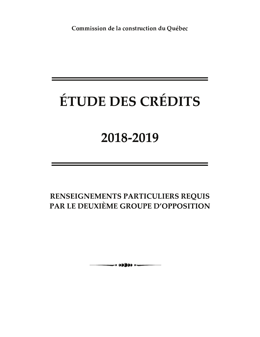Commission de la construction du Québec

# ÉTUDE DES CRÉDITS

## 2018-2019

RENSEIGNEMENTS PARTICULIERS REQUIS PAR LE DEUXIÈME GROUPE D'OPPOSITION

 $\longrightarrow$  00000  $\longleftarrow$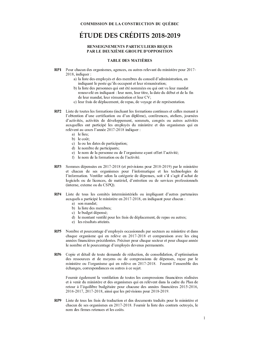### RENSEIGNEMENTS PARTICULIERS REQUIS PAR LE DEUXIÈME GROUPE D'OPPOSITION

#### **TABLE DES MATIÈRES**

- RP1 Pour chacun des organismes, agences, ou autres relevant du ministère pour 2017-2018, indiquer :
	- a) la liste des employés et des membres du conseil d'administration, en indiquant le poste qu'ils occupent et leur rémunération;
	- b) la liste des personnes qui ont été nommées ou qui ont vu leur mandat renouvelé en indiquant : leur nom, leur titre, la date du début et de la fin de leur mandat, leur rémunération et leur CV;
	- c) leur frais de déplacement, de repas, de voyage et de représentation.
- **RP2** Liste de toutes les formations (incluant les formations continues et celles menant à l'obtention d'une certification ou d'un diplôme), conférences, ateliers, journées d'activités, activités de développement, sommets, congrès ou autres activités auxquelles ont participé les employés du ministère et des organismes qui en relèvent au cours l'année 2017-2018 indiquer :
	- a) le lieu;
	- b) le coût:
	- c) la ou les dates de participation;
	- d) le nombre de participants;
	- e) le nom de la personne ou de l'organisme ayant offert l'activité;
	- f) le nom de la formation ou de l'activité.
- Sommes dépensées en 2017-2018 (et prévisions pour 2018-2019) par le ministère RP3 et chacun de ses organismes pour l'informatique et les technologies de l'information. Ventiler selon la catégorie de dépenses, soit s'il s'agit d'achat de logiciels ou de licences, de matériel, d'entretien ou de services professionnels (interne, externe ou du CSPQ).
- RP4 Liste de tous les comités interministériels ou impliquant d'autres partenaires aux quels a participé le ministère en 2017-2018, en indiquant pour chacun :
	- a) son mandat:
	- b) la liste des membres;
	- c) le budget dépensé;
	- d) le montant ventilé pour les frais de déplacement, de repas ou autres;
	- e) les résultats atteints.
- RP5 Nombre et pourcentage d'employés occasionnels par secteurs au ministère et dans chaque organisme qui en relève en 2017-2018 et comparaison avec les cinq années financières précédentes. Préciser pour chaque secteur et pour chaque année le nombre et le pourcentage d'employés devenus permanents.
- RP<sub>6</sub> Copie et détail de toute demande de réduction, de consolidation, d'optimisation des ressources et de moyens ou de compressions de dépenses, reçue par le ministère ou l'organisme qui en relève en 2017-2018. Fournir l'ensemble des échanges, correspondances ou autres à ce sujet.

Fournir également la ventilation de toutes les compressions financières réalisées et à venir du ministère et des organismes qui en relèvent dans la cadre du Plan de retour à l'équilibre budgétaire pour chacune des années financières 2015-2016, 2016-2017, 2017-2018, ainsi que les prévisions pour 2018-2019.

Liste de tous les frais de traduction et des documents traduits pour le ministère et RP9 chacun de ses organismes en 2017-2018. Fournir la liste des contrats octroyés, le nom des firmes retenues et les coûts.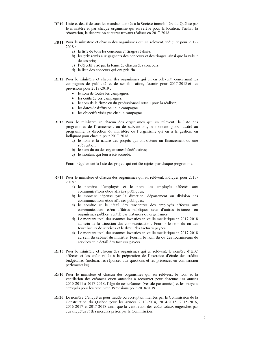- RP10 Liste et détail de tous les mandats donnés à la Société immobilière du Québec par le ministère et par chaque organisme qui en relève pour la location, l'achat, la rénovation, la décoration et autres travaux réalisés en 2017-2018.
- PR11 Pour le ministère et chacun des organismes qui en relèvent, indiquer pour 2017- $2018:$ 
	- a) la liste de tous les concours et tirages réalisés;
	- b) les prix remis aux gagnants des concours et des tirages, ainsi que la valeur de ces prix:
	- c) l'objectif visé par la tenue de chacun des concours:
	- d) la liste des concours qui ont pris fin.
- RP12 Pour le ministère et chacun des organismes qui en en relèvent, concernant les campagnes de publicité et de sensibilisation, fournir pour 2017-2018 et les prévisions pour 2018-2019 :
	- le nom de toutes les campagnes;
	- · les coûts de ces campagnes;
	- le nom de la firme ou du professionnel retenu pour la réaliser;
	- les dates de diffusion de la campagne;
	- les objectifs visés par chaque campagne.
- RP13 Pour le ministère et chacun des organismes qui en relèvent, la liste des programmes de financement ou de subventions, le montant global attitré au programme, la direction du ministère ou l'organisme qui en a la gestion, en indiquant pour chacun pour 2017-2018:
	- a) le nom et la nature des projets qui ont obtenu un financement ou une subvention:
	- b) le nom du ou des organismes bénéficiaires;
	- c) le montant qui leur a été accordé.

Fournir également la liste des projets qui ont été rejetés par chaque programme.

- RP14 Pour le ministère et chacun des organismes qui en relèvent, indiquer pour 2017- $2018:$ 
	- a) le nombre d'employés et le nom des employés affectés aux communications et/ou affaires publiques;
	- b) le montant dépensé par la direction, département ou division des communications et/ou affaires publiques;
	- c) le nombre et le détail des rencontres des employés affectés aux communications et/ou affaires publiques avec d'autres instances ou organismes publics, ventilé par instances ou organismes;
	- d) Le montant total des sommes investies en veille médiatique en 2017-2018 au sein de la direction des communications. Fournir le nom du ou des fournisseurs de services et le détail des factures payées:
	- e) Le montant total des sommes investies en veille médiatique en 2017-2018 au sein du cabinet du ministre. Fournir le nom du ou des fournisseurs de services et le détail des factures payées.
- RP15 Pour le ministère et chacun des organismes qui en relèvent, le nombre d'ETC affectés et les coûts reliés à la préparation de l'exercice d'étude des crédits budgétaires (incluant les réponses aux questions et les présences en commission parlementaire).
- RP16 Pour le ministère et chacun des organismes qui en relèvent, le total et la ventilation des créances et/ou amendes à recouvrer pour chacune des années 2010-2011 à 2017-2018, l'âge de ces créances (ventilé par années) et les moyens entrepris pour les recouvrer. Prévisions pour 2018-2019.
- RP20 Le nombre d'enquêtes pour fraude ou corruption menées par la Commission de la Construction du Québec pour les années 2013-2014, 2014-2015, 2015-2016, 2016-2017 et 2017-2018 ainsi que la ventilation des coûts totaux engendrés par ces enquêtes et des mesures prises par la Commission.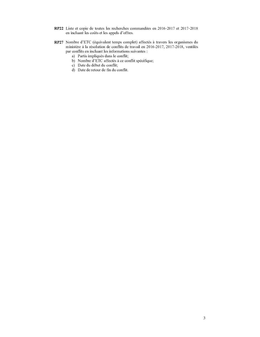- RP22 Liste et copie de toutes les recherches commandées en 2016-2017 et 2017-2018 en incluant les coûts et les appels d'offres.
- RP27 Nombre d'ETC (équivalent temps complet) affectés à travers les organismes du ministère à la résolution de conflits de travail en 2016-2017, 2017-2018, ventilés par conflits en incluant les informations suivantes :
	- a) Partis impliqués dans le conflit;
	- b) Nombre d'ETC affectés à ce conflit spécifique;
	- c) Date du début du conflit;
	- d) Date de retour de fin du conflit.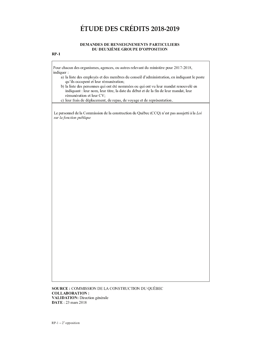#### DEMANDES DE RENSEIGNEMENTS PARTICULIERS DU DEUXIÈME GROUPE D'OPPOSITION

### $RP-1$

Pour chacun des organismes, agences, ou autres relevant du ministère pour 2017-2018, indiquer:

a) la liste des employés et des membres du conseil d'administration, en indiquant le poste qu'ils occupent et leur rémunération;

b) la liste des personnes qui ont été nommées ou qui ont vu leur mandat renouvelé en indiquant : leur nom, leur titre, la date du début et de la fin de leur mandat, leur rémunération et leur CV;

c) leur frais de déplacement, de repas, de voyage et de représentation.

Le personnel de la Commission de la construction du Québec (CCQ) n'est pas assujetti à la Loi sur la fonction publique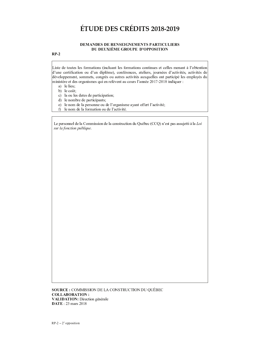#### DEMANDES DE RENSEIGNEMENTS PARTICULIERS DU DEUXIÈME GROUPE D'OPPOSITION

### $RP-2$

Liste de toutes les formations (incluant les formations continues et celles menant à l'obtention d'une certification ou d'un diplôme), conférences, ateliers, journées d'activités, activités de développement, sommets, congrès ou autres activités auxquelles ont participé les employés du ministère et des organismes qui en relèvent au cours l'année 2017-2018 indiquer :

- a) le lieu;
- b) le coût;
- c) la ou les dates de participation;
- d) le nombre de participants;
- e) le nom de la personne ou de l'organisme ayant offert l'activité;
- f) le nom de la formation ou de l'activité.

Le personnel de la Commission de la construction du Québec (CCQ) n'est pas assujetti à la Loi sur la fonction publique.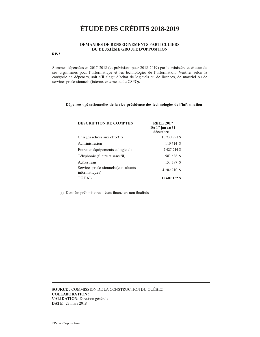### DEMANDES DE RENSEIGNEMENTS PARTICULIERS DU DEUXIÈME GROUPE D'OPPOSITION

### $RP-3$

Sommes dépensées en 2017-2018 (et prévisions pour 2018-2019) par le ministère et chacun de ses organismes pour l'informatique et les technologies de l'information. Ventiler selon la catégorie de dépenses, soit s'il s'agit d'achat de logiciels ou de licences, de matériel ou de services professionnels (interne, externe ou du CSPQ).

Dépenses opérationnelles de la vice-présidence des technologies de l'information

| <b>DESCRIPTION DE COMPTES</b>                          | <b>RÉEL 2017</b><br>Du 1 <sup>er</sup> jan au 31<br>décembre <sup>(1)</sup> |
|--------------------------------------------------------|-----------------------------------------------------------------------------|
| Charges reliées aux effectifs                          | 10 730 791 \$                                                               |
| Administration                                         | 110414S                                                                     |
| Entretien équipements et logiciels                     | 2427714\$                                                                   |
| Téléphonie (filaire et sans fil)                       | 983 526 \$                                                                  |
| Autres frais                                           | 151797 \$                                                                   |
| Services professionnels (consultants<br>informatiques) | 4 202 910 \$                                                                |
| ТОТАІ.                                                 | 18 607 152 S                                                                |

(1) Données préliminaires - états financiers non finalisés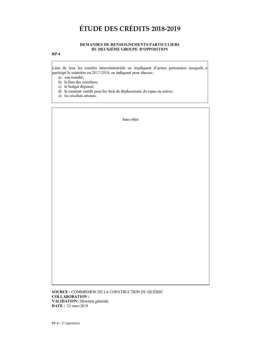#### - . / <sup>0</sup> <sup>1</sup> - . <sup>2</sup> - . <sup>3</sup> . <sup>1</sup> <sup>2</sup> . <sup>4</sup> <sup>5</sup> <sup>1</sup> . / . <sup>1</sup> <sup>6</sup> <sup>2</sup> <sup>7</sup> <sup>0</sup> <sup>3</sup> <sup>6</sup> <sup>4</sup> <sup>8</sup> <sup>9</sup> : <sup>4</sup> . <sup>3</sup> <sup>2</sup> - <sup>9</sup> - . <sup>9</sup> ; <sup>4</sup> <sup>&</sup>lt; / . <sup>5</sup> <sup>3</sup> <sup>=</sup> <sup>9</sup> <sup>7</sup> . - <sup>&</sup>gt; = <sup>7</sup> <sup>7</sup> <sup>=</sup> <sup>2</sup> <sup>4</sup> <sup>6</sup> <sup>4</sup> <sup>=</sup> <sup>1</sup>

#### — <u>—</u>

A <sup>B</sup> <sup>C</sup> <sup>D</sup> <sup>E</sup> <sup>F</sup> <sup>E</sup> <sup>D</sup> <sup>G</sup> <sup>H</sup> <sup>C</sup> <sup>I</sup> <sup>E</sup> <sup>C</sup> <sup>J</sup> <sup>G</sup> <sup>K</sup> <sup>B</sup> <sup>D</sup> <sup>L</sup> <sup>C</sup> <sup>B</sup> <sup>M</sup> <sup>D</sup> <sup>E</sup> <sup>N</sup> <sup>K</sup> <sup>B</sup> <sup>M</sup> <sup>B</sup> <sup>C</sup> <sup>D</sup> <sup>L</sup> <sup>N</sup> <sup>B</sup> <sup>E</sup> <sup>I</sup> <sup>C</sup> <sup>G</sup> <sup>H</sup> <sup>B</sup> <sup>K</sup> <sup>O</sup> <sup>I</sup> B <sup>P</sup> <sup>H</sup> <sup>Q</sup> <sup>M</sup> <sup>D</sup> <sup>F</sup> <sup>R</sup> <sup>Q</sup> <sup>H</sup> <sup>D</sup> <sup>N</sup> <sup>E</sup> <sup>C</sup> <sup>O</sup> <sup>Q</sup> <sup>N</sup> <sup>D</sup> <sup>E</sup> <sup>M</sup> <sup>Q</sup> <sup>B</sup> <sup>N</sup> <sup>E</sup> <sup>C</sup> <sup>Q</sup> <sup>H</sup> <sup>S</sup> <sup>P</sup> <sup>H</sup> <sup>E</sup> <sup>I</sup> <sup>C</sup> <sup>Q</sup> O <sup>Q</sup> <sup>N</sup> <sup>D</sup> <sup>B</sup> <sup>J</sup> <sup>B</sup> <sup>O</sup> <sup>L</sup> <sup>I</sup> <sup>E</sup> <sup>K</sup> <sup>B</sup> <sup>M</sup> <sup>B</sup> <sup>C</sup> <sup>D</sup> <sup>T</sup> <sup>N</sup> <sup>E</sup> <sup>E</sup> <sup>M</sup> <sup>U</sup> <sup>V</sup> <sup>W</sup> <sup>X</sup> <sup>Y</sup> <sup>U</sup> <sup>V</sup> <sup>W</sup> <sup>Z</sup> [ <sup>E</sup> <sup>M</sup> <sup>B</sup> <sup>M</sup> <sup>F</sup> <sup>B</sup> <sup>P</sup> <sup>H</sup> <sup>Q</sup> <sup>M</sup> <sup>D</sup> <sup>O</sup> <sup>G</sup> <sup>H</sup> <sup>N</sup> <sup>J</sup> \ <sup>Q</sup> <sup>J</sup> <sup>H</sup> <sup>M</sup> ]

- $\sim$  C  $\sim$  C  $\sim$  C  $\sim$  C  $\sim$  C  $\sim$  C  $\sim$  C  $\sim$  C  $\sim$  C  $\sim$  C  $\sim$  C  $\sim$  C  $\sim$  C  $\sim$  C  $\sim$  C  $\sim$  C  $\sim$  C  $\sim$  C  $\sim$  C  $\sim$  C  $\sim$  C  $\sim$  C  $\sim$  C  $\sim$  C  $\sim$  C  $\sim$  C  $\sim$  C  $\sim$  C  $\sim$  C  $\sim$  C  $\sim$  C  $\sim$
- ` ^ <sup>I</sup> <sup>Q</sup> <sup>I</sup> B <sup>C</sup> <sup>D</sup> <sup>E</sup> <sup>F</sup> <sup>E</sup> <sup>C</sup> <sup>K</sup> <sup>E</sup> <sup>K</sup> ` N <sup>E</sup> <sup>C</sup> \_
- J ^ <sup>I</sup> <sup>E</sup> ` H <sup>F</sup> <sup>a</sup> <sup>E</sup> <sup>D</sup> <sup>F</sup> <sup>L</sup> <sup>O</sup> <sup>E</sup> <sup>M</sup> <sup>C</sup> <sup>L</sup> \_
- F A D D D B I L O B I L O I L O I G H N I E C N E C H D E F E T E C H D H D E K E M D E C G H D H D N E C G H
- $E$   $\sim$   $E$   $\sim$   $E$   $\sim$   $E$   $\sim$   $E$   $\sim$   $E$   $\sim$   $E$   $\sim$   $E$   $\sim$   $E$   $\sim$   $E$

e and the contract of the contract of the contract of the contract of the contract of the contract of the contract of the contract of the contract of the contract of the contract of the contract of the contract of the cont

a o tro or a contrary of the contrary top that of the contrary 8 <sup>=</sup> : : <sup>0</sup> <sup>v</sup> <sup>=</sup> <sup>3</sup> <sup>0</sup> <sup>6</sup> <sup>4</sup> <sup>=</sup> <sup>1</sup> <sup>g</sup> w <sup>0</sup> : <sup>4</sup> - <sup>0</sup> <sup>6</sup> <sup>4</sup> <sup>=</sup> <sup>1</sup> <sup>g</sup> <sup>m</sup> <sup>B</sup> <sup>N</sup> <sup>E</sup> <sup>J</sup> <sup>D</sup> <sup>B</sup> <sup>G</sup> <sup>M</sup> <sup>a</sup> <sup>L</sup> <sup>M</sup> <sup>L</sup> <sup>N</sup> <sup>Q</sup> <sup>I</sup> <sup>E</sup> - <sup>0</sup> <sup>6</sup> . <sup>g</sup> <sup>U</sup> <sup>x</sup> <sup>K</sup> <sup>Q</sup> <sup>N</sup> <sup>C</sup> <sup>U</sup> <sup>V</sup> <sup>W</sup> <sup>Z</sup>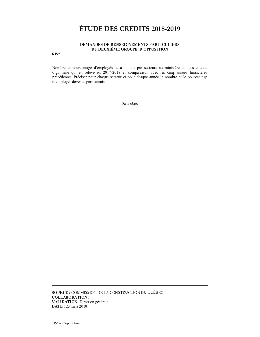### DEMANDES DE RENSEIGNEMENTS PARTICULIERS DU DEUXIÈME GROUPE D'OPPOSITION

### $RP-5$

Nombre et pourcentage d'employés occasionnels par secteurs au ministère et dans chaque organisme qui en relève en 2017-2018 et comparaison avec les cinq années financières précédentes. Préciser pour chaque secteur et pour chaque année le nombre et le pourcentage d'employés devenus permanents.

Sans objet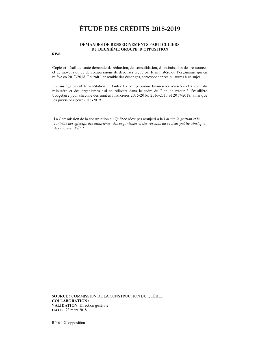#### **DEMANDES DE RENSEIGNEMENTS PARTICULIERS** DU DEUXIÈME GROUPE D'OPPOSITION

### $RP-6$

Copie et détail de toute demande de réduction, de consolidation, d'optimisation des ressources et de moyens ou de de compressions de dépenses reçue par le ministère ou l'organisme qui en relève en 2017-2018. Fournir l'ensemble des échanges, correspondances ou autres à ce sujet.

Fournir également la ventilation de toutes les compressions financières réalisées et à venir du ministère et des organismes qui en relèvent dans le cadre du Plan de retour à l'équilibre budgétaire pour chacune des années financières 2015-2016, 2016-2017 et 2017-2018, ainsi que les prévisions pour 2018-2019.

La Commission de la construction du Québec n'est pas assujetti à la Loi sur la gestion et le contrôle des effectifs des ministères, des organismes et des réseaux du secteur public ainsi que des sociétés d'État.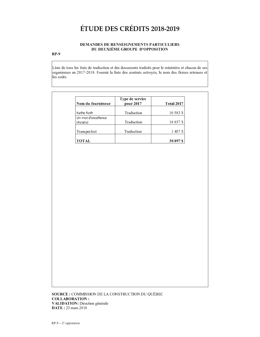### DEMANDES DE RENSEIGNEMENTS PARTICULIERS DU DEUXIÈME GROUPE D'OPPOSITION

### $RP-9$

Liste de tous les frais de traduction et des documents traduits pour le ministère et chacun de ses organismes en 2017-2018. Fournir la liste des contrats octroyés, le nom des firmes retenues et les coûts.

| Nom du fournisseur               | Type de service<br>pour 2017 | <b>Total 2017</b> |
|----------------------------------|------------------------------|-------------------|
| Kathe Roth                       | Traduction                   | 10 583 \$         |
| Un mot d'excellence<br>(Asiatis) | Traduction                   | 18857\$           |
| Transperfect                     | Traduction                   | 1457\$            |
| TOTAL                            |                              | 30 897 \$         |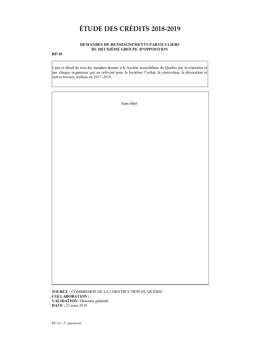### DEMANDES DE RENSEIGNEMENTS PARTICULIERS DU DEUXIÈME GROUPE D'OPPOSITION

### $RP-10$

Liste et détail de tous les mandats donnés à la Société immobilière du Québec par le ministère et par chaque organisme qui en relèvent pour la location, l'achat, la rénovation, la décoration et autres travaux réalisés en 2017-2018.

| Sans objet |
|------------|
|            |
|            |
|            |
|            |
|            |
|            |
|            |
|            |
|            |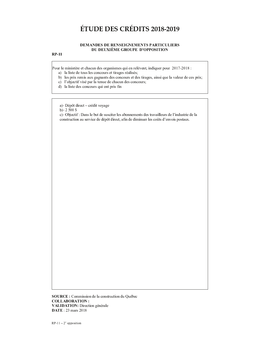### $\sim$  a b c d e f  $\sim$  and the f  $\sim$  d  $\sim$  d  $\sim$  d  $\sim$  d  $\sim$  d  $\sim$  d  $\sim$  d  $\sim$  d  $\sim$  d  $\sim$

#### n <sup>o</sup> <sup>p</sup> <sup>q</sup> <sup>r</sup> <sup>n</sup> <sup>o</sup> <sup>s</sup> <sup>n</sup> <sup>o</sup> <sup>t</sup> <sup>o</sup> <sup>r</sup> <sup>s</sup> <sup>o</sup> <sup>u</sup> <sup>v</sup> <sup>r</sup> <sup>o</sup> <sup>p</sup> <sup>o</sup> <sup>r</sup> <sup>w</sup> <sup>s</sup> <sup>x</sup> <sup>q</sup> <sup>t</sup> <sup>w</sup> <sup>u</sup> <sup>y</sup> <sup>z</sup> { <sup>u</sup> <sup>o</sup> <sup>t</sup> <sup>s</sup> n <sup>z</sup> <sup>n</sup> <sup>o</sup> <sup>z</sup> <sup>|</sup> <sup>u</sup> } <sup>p</sup> <sup>o</sup> <sup>v</sup> <sup>t</sup> <sup>~</sup> <sup>z</sup> <sup>x</sup> <sup>o</sup> <sup>n</sup> ~ <sup>x</sup> <sup>x</sup> <sup>~</sup> <sup>s</sup> <sup>u</sup> <sup>w</sup> <sup>u</sup> <sup>~</sup> <sup>r</sup>

#### $\sim$   $\sim$

- 
- ¡ ¢ ¢ ¢
- $\ddot{\quad}$   $\qquad$   $\qquad$   $\qquad$   $\qquad$   $\qquad$   $\qquad$   $\qquad$   $\qquad$   $\qquad$   $\qquad$   $\qquad$   $\qquad$   $\qquad$   $\qquad$   $\qquad$   $\qquad$   $\qquad$   $\qquad$   $\qquad$   $\qquad$   $\qquad$   $\qquad$   $\qquad$   $\qquad$   $\qquad$   $\qquad$   $\qquad$   $\qquad$   $\qquad$   $\qquad$   $\qquad$   $\qquad$   $\qquad$   $\qquad$   $\qquad$   $\$
- ya ya ya kuma wa katika mwaka wa 1990, matu wa 1990, matu wa 1990, matu wa 1990, matu wa 1990, matu wa 1990, m
- ¦ § ¨ ©
- ¡ <sup>ª</sup> «

 <sup>¬</sup> ¡ ¤ ¥ ¦ ¡ ¡ £ § ¥ £ ¢ ®

s <sup>~</sup> <sup>z</sup> <sup>t</sup> <sup>y</sup> <sup>o</sup> ¯ ° <sup>±</sup> ¡ y <sup>~</sup> { { <sup>q</sup> <sup>²</sup> <sup>~</sup> <sup>t</sup> <sup>q</sup> <sup>w</sup> <sup>u</sup> <sup>~</sup> <sup>r</sup> ¯ ³ <sup>q</sup> { <sup>u</sup> <sup>n</sup> <sup>q</sup> <sup>w</sup> <sup>u</sup> <sup>~</sup> <sup>r</sup> ¯ ¦ n o o a communication and a communication of the communication of the communication of the communication of the communication of the communication of the communication of the communication of the communication of the commu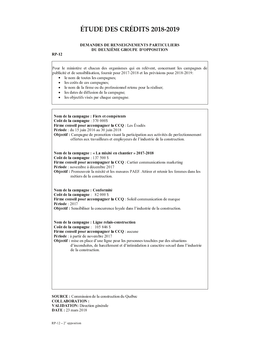#### **DEMANDES DE RENSEIGNEMENTS PARTICULIERS** DU DEUXIÈME GROUPE D'OPPOSITION

### **RP-12**

Pour le ministère et chacun des organismes qui en relèvent, concernant les campagnes de publicité et de sensibilisation, fournir pour 2017-2018 et les prévisions pour 2018-2019:

- le nom de toutes les campagnes;
- les coûts de ces campagnes;
- le nom de la firme ou du professionnel retenu pour la réaliser.  $\bullet$
- les dates de diffusion de la campagne:
- les objectifs visés par chaque campagne.

Nom de la campagne : Fiers et compétents Coût de la campagne : 370 000\$ Firme conseil pour accompagner la CCQ : Les Évadés Période : du 15 juin 2016 au 30 juin 2018 **Objectif**: Campagne de promotion visant la participation aux activités de perfectionnement offertes aux travailleurs et employeurs de l'industrie de la construction.

Nom de la campagne : « La mixité en chantier » 2017-2018 Coût de la campagne : 137 500 \$ Firme conseil pour accompagner la CCQ : Cartier communications marketing Période : novembre à décembre 2017 Objectif : Promouvoir la mixité et les mesures PAEF. Attirer et retenir les femmes dans les métiers de la construction.

Nom de la campagne : Conformité Coût de la campagne : 82 000 \$ Firme conseil pour accompagner la CCQ : Soleil communication de marque Période: 2017 Objectif : Sensibiliser la concurrence loyale dans l'industrie de la construction.

Nom de la campagne : Ligne relais-construction Coût de la campagne : 105 846 \$ Firme conseil pour accompagner la CCQ : aucune Période : à partir de novembre 2017 Objectif : mise en place d'une ligne pour les personnes touchées par des situations d'inconduites, de harcèlement et d'intimidation à caractère sexuel dans l'industrie de la construction

SOURCE : Commission de la construction du Québec **COLLABORATION: VALIDATION:** Direction générale **DATE: 23 mars 2018**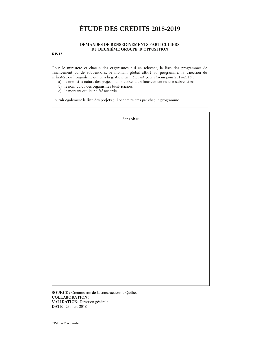#### DEMANDES DE RENSEIGNEMENTS PARTICULIERS DU DEUXIÈME GROUPE D'OPPOSITION

### $RP-13$

Pour le ministère et chacun des organismes qui en relèvent, la liste des programmes de  $\alpha$  . The set of v and v a v a r o v a r o v  $\alpha$  and  $\alpha$  and  $\alpha$  and  $\alpha$  and  $\alpha$  and  $\alpha$  and  $\alpha$  and  $\alpha$  and  $\alpha$  and  $\alpha$  and  $\alpha$  and  $\alpha$  and  $\alpha$  and  $\alpha$  and  $\alpha$  and  $\alpha$  and  $\alpha$  and  $\alpha$  and  $\alpha$  and  $\alpha$ ministère ou l'organisme qui en a la gestion, en indiquant pour chacun pour 2017-2018 :

- $\sim$  s v  $\sim$  s w  $\sim$  w  $\sim$  w  $\sim$  v  $\sim$  v  $\sim$  v  $\sim$  v  $\sim$
- <sup>r</sup> <sup>s</sup> <sup>v</sup> <sup>o</sup> <sup>t</sup> } <sup>p</sup> <sup>o</sup> <sup>p</sup> } <sup>s</sup> <sup>w</sup> <sup>o</sup> <sup>q</sup> <sup>~</sup> <sup>|</sup> <sup>v</sup> <sup>u</sup> <sup>w</sup> <sup>t</sup> <sup>s</sup> <sup>w</sup> <sup>v</sup> <sup>u</sup> <sup>z</sup> <sup>u</sup> <sup>|</sup> <sup>u</sup> <sup>q</sup> <sup>s</sup> <sup>w</sup>
- c) le montant qui leur a été accordé.

Fournir également la liste des projets qui ont été rejetés par chaque programme.

 $\sim$   $\sim$   $\sim$   $\sim$   $\sim$ 

SOURCE : Commission de la construction du Québec COLLABORATION : VALIDATION: Direction générale  $\mathbf{DATE}: 23 \text{ mars } 2018$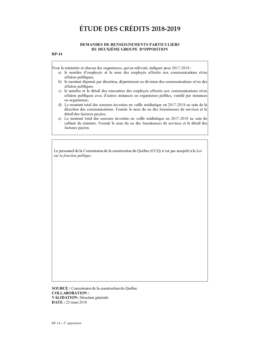#### **DEMANDES DE RENSEIGNEMENTS PARTICULIERS** DU DEUXIÈME GROUPE D'OPPOSITION

### **RP-14**

Pour le ministère et chacun des organismes, qui en relèvent, indiquer pour 2017-2018 :

- a) le nombre d'employés et le nom des employés affectés aux communications et/ou affaires publiques;
- b) le montant dépensé par direction, département ou division des communications et/ou des affaires publiques.
- c) le nombre et le détail des rencontres des employés affectés aux communications et/ou affaires publiques avec d'autres instances ou organismes publics, ventilé par instances ou organismes;
- d) Le montant total des sommes investies en veille médiatique en 2017-2018 au sein de la direction des communications. Fournir le nom du ou des fournisseurs de services et le détail des factures payées;
- e) Le montant total des sommes investies en veille médiatique en 2017-2018 au sein du cabinet du ministre. Fournir le nom du ou des fournisseurs de services et le détail des factures payées.

Le personnel de la Commission de la construction du Québec (CCQ) n'est pas assujetti à la Loi sur la fonction publique.

**SOURCE**: Commission de la construction du Québec **COLLABORATION: VALIDATION:** Direction générale **DATE: 23 mars 2018**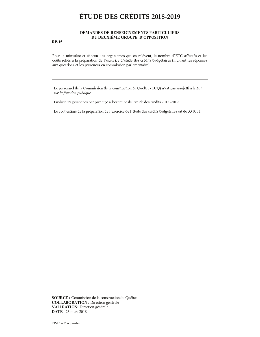#### DEMANDES DE RENSEIGNEMENTS PARTICULIERS DU DEUXIÈME GROUPE D'OPPOSITION

### $RP-15$

Pour le ministère et chacun des organismes qui en relèvent, le nombre d'ETC affectés et les coûts reliés à la préparation de l'exercice d'étude des crédits budgétaires (incluant les réponses aux questions et les présences en commission parlementaire).

Le personnel de la Commission de la construction du Québec (CCQ) n'est pas assujetti à la Loi an le fonotion publicus

Environ 25 personnes ont participé à l'exercice de l'étude des crédits 2018-2019.

Le coût estimé de la préparation de l'exercice de l'étude des crédits budgétaires est de 33 000\$.

SOURCE : Commission de la construction du Québec COLLABORATION : Direction générale VALIDATION: Direction générale **DATE**: 23 mars 2018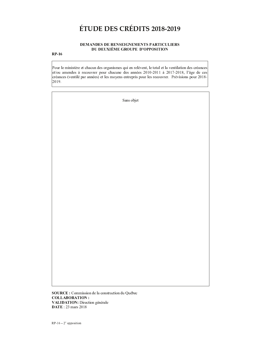### DEMANDES DE RENSEIGNEMENTS PARTICULIERS DU DEUXIÈME GROUPE D'OPPOSITION

### $RP-16$

Pour le ministère et chacun des organismes qui en relèvent, le total et la ventilation des créances et/ou amendes à recouvrer pour chacune des années 2010-2011 à 2017-2018, l'âge de ces créances (ventilé par années) et les moyens entrepris pour les recouvrer. Prévisions pour 2018-2019.

| Sans objet |
|------------|
|            |
|            |
|            |
|            |
|            |
|            |
|            |
|            |
|            |
|            |
|            |
|            |
|            |

**SOURCE**: Commission de la construction du Québec **COLLABORATION: VALIDATION:** Direction générale **DATE: 23 mars 2018**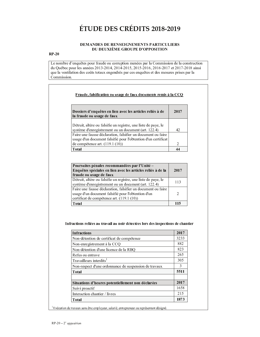### DEMANDES DE RENSEIGNEMENTS PARTICULIERS DU DEUXIÈME GROUPE D'OPPOSITION

### $RP-20$

Le nombre d'enquêtes pour fraude ou corruption menées par la Commission de la construction du Québec pour les années 2013-2014, 2014-2015, 2015-2016, 2016-2017 et 2017-2018 ainsi que la ventilation des coûts totaux engendrés par ces enquêtes et des mesures prises par la Commission.

| 42                                                                                                                                                                                                                                                                                                                                                                                                                         |
|----------------------------------------------------------------------------------------------------------------------------------------------------------------------------------------------------------------------------------------------------------------------------------------------------------------------------------------------------------------------------------------------------------------------------|
|                                                                                                                                                                                                                                                                                                                                                                                                                            |
|                                                                                                                                                                                                                                                                                                                                                                                                                            |
| $\mathfrak{D}_{1}^{2}(\mathfrak{D}_{1})=\mathfrak{D}_{2}^{2}(\mathfrak{D}_{2})=\mathfrak{D}_{2}^{2}(\mathfrak{D}_{1})=\mathfrak{D}_{2}^{2}(\mathfrak{D}_{2})=\mathfrak{D}_{2}^{2}(\mathfrak{D}_{1})=\mathfrak{D}_{2}^{2}(\mathfrak{D}_{1})=\mathfrak{D}_{2}^{2}(\mathfrak{D}_{1})=\mathfrak{D}_{2}^{2}(\mathfrak{D}_{1})=\mathfrak{D}_{2}^{2}(\mathfrak{D}_{1})=\mathfrak{D}_{2}^{2}(\mathfrak{D}_{1})=\mathfrak{D}_{2}^{$ |
|                                                                                                                                                                                                                                                                                                                                                                                                                            |

| Poursuites pénales recommandées par l'Unité -<br>Enquêtes spéciales en lien avec les articles reliés à de la<br>fraude ou usage de faux                          | 2017 |
|------------------------------------------------------------------------------------------------------------------------------------------------------------------|------|
| Détruit, altère ou falsifie un registre, une liste de paye, le<br>système d'enregistrement ou un document (art. 122.4)                                           | 113  |
| Faire une fausse déclaration, falsifier un document ou faire<br>usage d'un document falsifié pour l'obtention d'un<br>certificat de compétence art. (119.1 (10)) | 2    |
| Total                                                                                                                                                            | 115  |

#### Infractions reliées au travail au noir détectées lors des inspections de chantier

| <b>Infractions</b>                                    | 2017 |
|-------------------------------------------------------|------|
| Non-détention de certificat de compétence             | 3233 |
| Non-enregistrement à la CCQ                           | 882  |
| Non-détention d'une licence de la RBQ                 | 823  |
| Refus ou entrave                                      | 265  |
| Travailleurs interdits <sup>1</sup>                   | 305  |
| Non-respect d'une ordonnance de suspension de travaux | 3    |
| <b>Total</b>                                          | 5511 |
| Situations d'heures potentiellement non déclarées     | 2017 |
| Suivi proactif                                        | 1658 |
| Interaction chantier / livres                         | 215  |
| Total                                                 | 1873 |

 $^{1}$  Exécution de travaux sans être employeur, salarié, entrepreneur ou représentant désigné.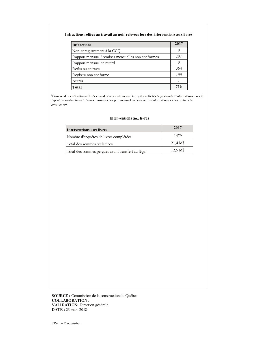#### Infractions reliées au travail au noir relevées lors des interventions aux livres<sup>1</sup>

| <b>Infractions</b>                                 | 2017 |
|----------------------------------------------------|------|
| Non-enregistrement à la CCQ                        |      |
| Rapport mensuel / remises mensuelles non conformes | 207  |
| Rapport mensuel en retard                          |      |
| Refus ou entrave                                   | 364  |
| Registre non conforme                              | 144  |
| Autres                                             |      |
| Total                                              | 716  |

where  $x$  is the set of  $x$  is the set of  $x$  is the set of  $x$  is the set of  $x$  is the set of  $x$  is the set of  $x$ construction.

### Interventions aux livres

| Interventions aux livres                          | 2017    |
|---------------------------------------------------|---------|
| Nombre d'enquêtes de livres complétées            | 1479    |
| l Total des sommes réclamées                      | 21.4 MS |
| Total des sommes perçues avant transfert au légal | 12.5 MS |

 . <sup>+</sup> & & <sup>+</sup> - ) \* & % # \* % <sup>+</sup> # / # , \* \_ \_ \_ \_ \_ . \_ \_ \_ . \_ \_ \_ \_ \_ VALIDATION: Direction générale **DATE**: 23 mars 2018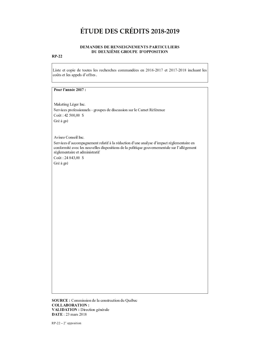### DEMANDES DE RENSEIGNEMENTS PARTICULIERS DU DEUXIÈME GROUPE D'OPPOSITION

### $RP-22$

Liste et copie de toutes les recherches commandées en 2016-2017 et 2017-2018 incluant les coûts et les appels d'offres.

### Pour l'année 2017 :

Maketing Léger Inc. Services professionnels - groupes de discussion sur le Carnet Référence Coût: 42 500,00 \$ Gré à gré

Aviseo Conseil Inc.

Services d'accompagnement relatif à la rédaction d'une analyse d'impact réglementaire en conformité avec les nouvelles dispositions de la politique gouvernementale sur l'allègement réglementaire et administratif

Coût: 24 843,00 \$

Gré à gré

SOURCE : Commission de la construction du Québec **COLLABORATION: VALIDATION**: Direction générale **DATE**: 23 mars 2018